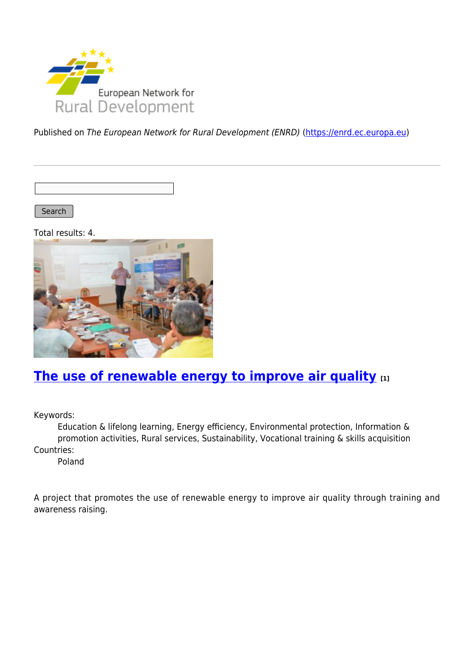

Published on The European Network for Rural Development (ENRD) [\(https://enrd.ec.europa.eu](https://enrd.ec.europa.eu))

Search

Total results: 4.



## **[The use of renewable energy to improve air quality](https://enrd.ec.europa.eu/projects-practice/use-renewable-energy-improve-air-quality_en) [1]**

Keywords:

Education & lifelong learning, Energy efficiency, Environmental protection, Information & promotion activities, Rural services, Sustainability, Vocational training & skills acquisition Countries:

Poland

A project that promotes the use of renewable energy to improve air quality through training and awareness raising.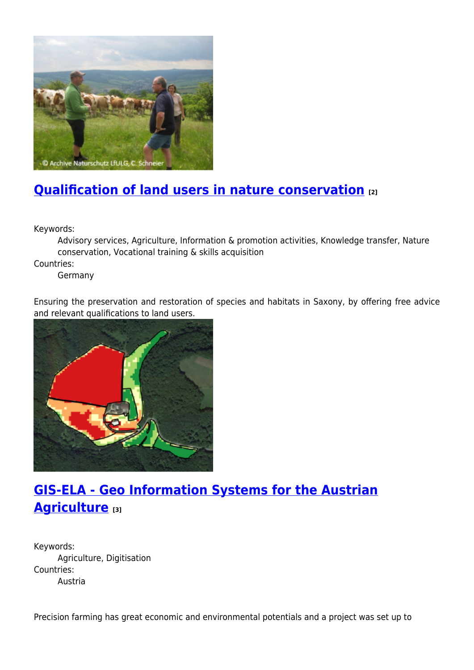

# **[Qualification of land users in nature conservation](https://enrd.ec.europa.eu/projects-practice/qualification-land-users-nature-conservation_en) [2]**

Keywords:

Advisory services, Agriculture, Information & promotion activities, Knowledge transfer, Nature conservation, Vocational training & skills acquisition

Countries:

Germany

Ensuring the preservation and restoration of species and habitats in Saxony, by offering free advice and relevant qualifications to land users.



# **[GIS-ELA - Geo Information Systems for the Austrian](https://enrd.ec.europa.eu/projects-practice/gis-ela-geo-information-systems-austrian-agriculture_en) [Agriculture](https://enrd.ec.europa.eu/projects-practice/gis-ela-geo-information-systems-austrian-agriculture_en) [3]**

Keywords: Agriculture, Digitisation Countries: Austria

Precision farming has great economic and environmental potentials and a project was set up to